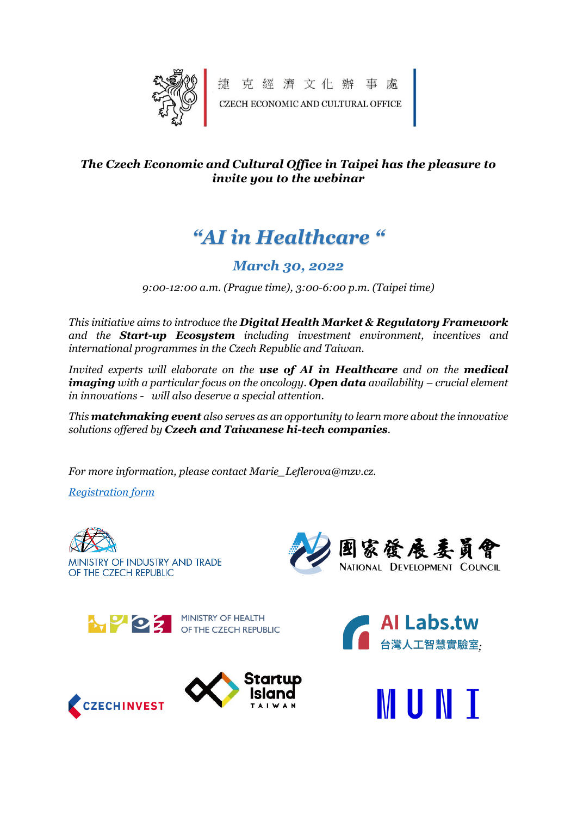

捷克經濟文化辦事處 CZECH ECONOMIC AND CULTURAL OFFICE

### *The Czech Economic and Cultural Office in Taipei has the pleasure to invite you to the webinar*

# *"AI in Healthcare "*

# *March 30, 2022*

*9:00-12:00 a.m. (Prague time), 3:00-6:00 p.m. (Taipei time)*

*This initiative aims to introduce the Digital Health Market & Regulatory Framework and the Start-up Ecosystem including investment environment, incentives and international programmes in the Czech Republic and Taiwan.*

*Invited experts will elaborate on the use of AI in Healthcare and on the medical imaging with a particular focus on the oncology. Open data availability – crucial element in innovations - will also deserve a special attention.* 

*This matchmaking event also serves as an opportunity to learn more about the innovative solutions offered by Czech and Taiwanese hi-tech companies.* 

*For more information, please contact Marie\_Leflerova@mzv.cz.*

*[Registration form](https://docs.google.com/forms/d/e/1FAIpQLSebZKwtJIF6Sgn7lYR7bORraErImsvTn4ligoDBCxYMiM0xzg/viewform?usp=sf_link)*

**CZECHINVEST** 



MINISTRY OF INDUSTRY AND TRADE OF THE CZECH REPUBLIC